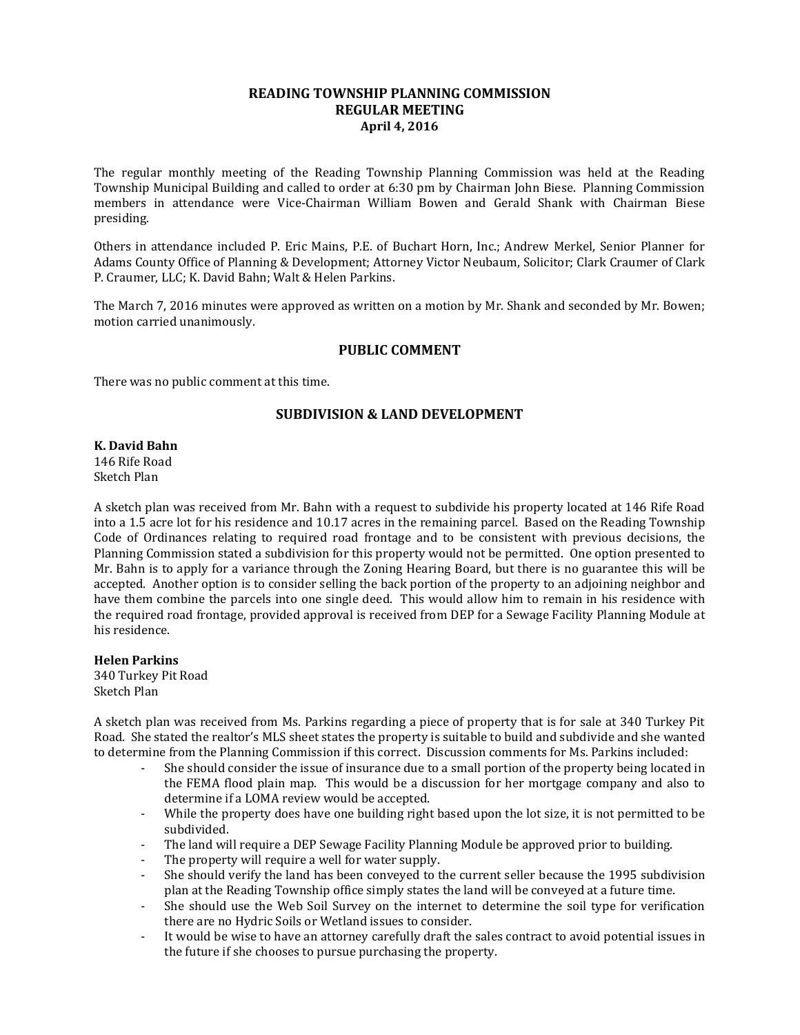## **READING TOWNSHIP PLANNING COMMISSION REGULAR MEETING April 4, 2016**

The regular monthly meeting of the Reading Township Planning Commission was held at the Reading Township Municipal Building and called to order at 6:30 pm by Chairman John Biese. Planning Commission members in attendance were Vice-Chairman William Bowen and Gerald Shank with Chairman Biese presiding.

Others in attendance included P. Eric Mains, P.E. of Buchart Horn, Inc.; Andrew Merkel, Senior Planner for Adams County Office of Planning & Development; Attorney Victor Neubaum, Solicitor; Clark Craumer of Clark P. Craumer, LLC; K. David Bahn; Walt & Helen Parkins.

The March 7, 2016 minutes were approved as written on a motion by Mr. Shank and seconded by Mr. Bowen; motion carried unanimously.

### **PUBLIC COMMENT**

There was no public comment at this time.

## **SUBDIVISION & LAND DEVELOPMENT**

**K. David Bahn** 146 Rife Road Sketch Plan

A sketch plan was received from Mr. Bahn with a request to subdivide his property located at 146 Rife Road into a 1.5 acre lot for his residence and 10.17 acres in the remaining parcel. Based on the Reading Township Code of Ordinances relating to required road frontage and to be consistent with previous decisions, the Planning Commission stated a subdivision for this property would not be permitted. One option presented to Mr. Bahn is to apply for a variance through the Zoning Hearing Board, but there is no guarantee this will be accepted. Another option is to consider selling the back portion of the property to an adjoining neighbor and have them combine the parcels into one single deed. This would allow him to remain in his residence with the required road frontage, provided approval is received from DEP for a Sewage Facility Planning Module at his residence.

**Helen Parkins** 340 Turkey Pit Road Sketch Plan

A sketch plan was received from Ms. Parkins regarding a piece of property that is for sale at 340 Turkey Pit Road. She stated the realtor's MLS sheet states the property is suitable to build and subdivide and she wanted to determine from the Planning Commission if this correct. Discussion comments for Ms. Parkins included:

- She should consider the issue of insurance due to a small portion of the property being located in the FEMA flood plain map. This would be a discussion for her mortgage company and also to determine if a LOMA review would be accepted.
- While the property does have one building right based upon the lot size, it is not permitted to be subdivided.
- The land will require a DEP Sewage Facility Planning Module be approved prior to building.
- The property will require a well for water supply.
- She should verify the land has been conveyed to the current seller because the 1995 subdivision plan at the Reading Township office simply states the land will be conveyed at a future time.
- She should use the Web Soil Survey on the internet to determine the soil type for verification there are no Hydric Soils or Wetland issues to consider.
- It would be wise to have an attorney carefully draft the sales contract to avoid potential issues in the future if she chooses to pursue purchasing the property.